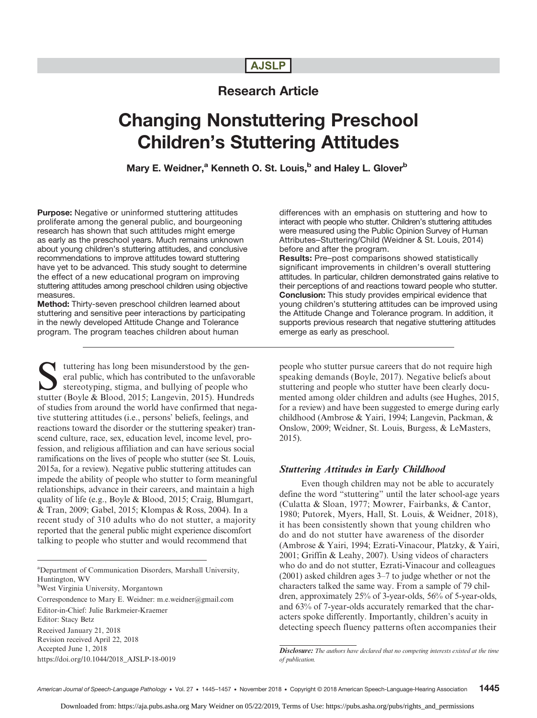# AJSLP

# Research Article

# Changing Nonstuttering Preschool Children's Stuttering Attitudes

Mary E. Weidner,<sup>a</sup> Kenneth O. St. Louis,<sup>b</sup> and Haley L. Glover<sup>b</sup>

**Purpose:** Negative or uninformed stuttering attitudes proliferate among the general public, and bourgeoning research has shown that such attitudes might emerge as early as the preschool years. Much remains unknown about young children's stuttering attitudes, and conclusive recommendations to improve attitudes toward stuttering have yet to be advanced. This study sought to determine the effect of a new educational program on improving stuttering attitudes among preschool children using objective measures.

Method: Thirty-seven preschool children learned about stuttering and sensitive peer interactions by participating in the newly developed Attitude Change and Tolerance program. The program teaches children about human

tuttering has long been misunderstood by the general public, which has contributed to the unfavorable stereotyping, stigma, and bullying of people who stutter (Boyle & Blood, 2015; Langevin, 2015). Hundreds of studies from around the world have confirmed that negative stuttering attitudes (i.e., persons' beliefs, feelings, and reactions toward the disorder or the stuttering speaker) transcend culture, race, sex, education level, income level, profession, and religious affiliation and can have serious social ramifications on the lives of people who stutter (see St. Louis, 2015a, for a review). Negative public stuttering attitudes can impede the ability of people who stutter to form meaningful relationships, advance in their careers, and maintain a high quality of life (e.g., Boyle & Blood, 2015; Craig, Blumgart, & Tran, 2009; Gabel, 2015; Klompas & Ross, 2004). In a recent study of 310 adults who do not stutter, a majority reported that the general public might experience discomfort talking to people who stutter and would recommend that

a Department of Communication Disorders, Marshall University, Huntington, WV

b West Virginia University, Morgantown

Correspondence to Mary E. Weidner: m.e.weidner@gmail.com Editor-in-Chief: Julie Barkmeier-Kraemer

Editor: Stacy Betz

Received January 21, 2018

Revision received April 22, 2018 Accepted June 1, 2018

[https://doi.org/10.1044/2018\\_AJSLP-18-0019](https://doi.org/10.1044/2018_AJSLP-18-0019)

differences with an emphasis on stuttering and how to interact with people who stutter. Children's stuttering attitudes were measured using the Public Opinion Survey of Human Attributes–Stuttering/Child (Weidner & St. Louis, 2014) before and after the program.

Results: Pre–post comparisons showed statistically significant improvements in children's overall stuttering attitudes. In particular, children demonstrated gains relative to their perceptions of and reactions toward people who stutter. Conclusion: This study provides empirical evidence that young children's stuttering attitudes can be improved using the Attitude Change and Tolerance program. In addition, it supports previous research that negative stuttering attitudes emerge as early as preschool.

people who stutter pursue careers that do not require high speaking demands (Boyle, 2017). Negative beliefs about stuttering and people who stutter have been clearly documented among older children and adults (see Hughes, 2015, for a review) and have been suggested to emerge during early childhood (Ambrose & Yairi, 1994; Langevin, Packman, & Onslow, 2009; Weidner, St. Louis, Burgess, & LeMasters, 2015).

#### Stuttering Attitudes in Early Childhood

Even though children may not be able to accurately define the word "stuttering" until the later school-age years (Culatta & Sloan, 1977; Mowrer, Fairbanks, & Cantor, 1980; Putorek, Myers, Hall, St. Louis, & Weidner, 2018), it has been consistently shown that young children who do and do not stutter have awareness of the disorder (Ambrose & Yairi, 1994; Ezrati-Vinacour, Platzky, & Yairi, 2001; Griffin & Leahy, 2007). Using videos of characters who do and do not stutter, Ezrati-Vinacour and colleagues (2001) asked children ages 3–7 to judge whether or not the characters talked the same way. From a sample of 79 children, approximately 25% of 3-year-olds, 56% of 5-year-olds, and 63% of 7-year-olds accurately remarked that the characters spoke differently. Importantly, children's acuity in detecting speech fluency patterns often accompanies their

Disclosure: The authors have declared that no competing interests existed at the time of publication.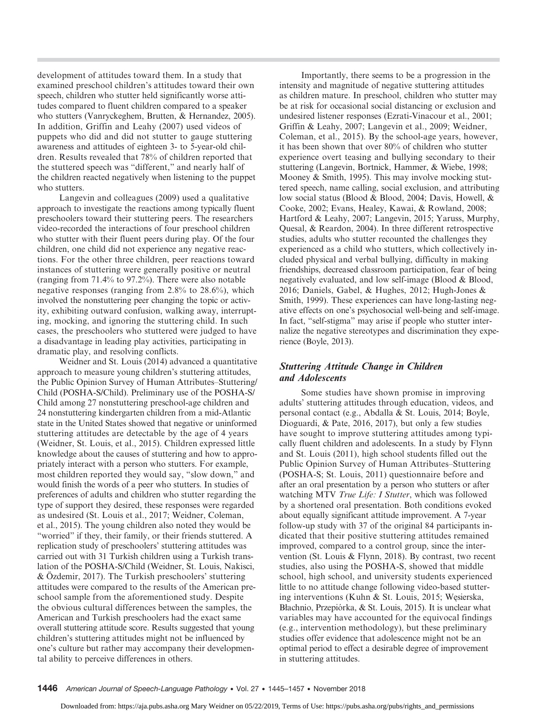development of attitudes toward them. In a study that examined preschool children's attitudes toward their own speech, children who stutter held significantly worse attitudes compared to fluent children compared to a speaker who stutters (Vanryckeghem, Brutten, & Hernandez, 2005). In addition, Griffin and Leahy (2007) used videos of puppets who did and did not stutter to gauge stuttering awareness and attitudes of eighteen 3- to 5-year-old children. Results revealed that 78% of children reported that the stuttered speech was "different," and nearly half of the children reacted negatively when listening to the puppet who stutters.

Langevin and colleagues (2009) used a qualitative approach to investigate the reactions among typically fluent preschoolers toward their stuttering peers. The researchers video-recorded the interactions of four preschool children who stutter with their fluent peers during play. Of the four children, one child did not experience any negative reactions. For the other three children, peer reactions toward instances of stuttering were generally positive or neutral (ranging from 71.4% to 97.2%). There were also notable negative responses (ranging from 2.8% to 28.6%), which involved the nonstuttering peer changing the topic or activity, exhibiting outward confusion, walking away, interrupting, mocking, and ignoring the stuttering child. In such cases, the preschoolers who stuttered were judged to have a disadvantage in leading play activities, participating in dramatic play, and resolving conflicts.

Weidner and St. Louis (2014) advanced a quantitative approach to measure young children's stuttering attitudes, the Public Opinion Survey of Human Attributes–Stuttering/ Child (POSHA-S/Child). Preliminary use of the POSHA-S/ Child among 27 nonstuttering preschool-age children and 24 nonstuttering kindergarten children from a mid-Atlantic state in the United States showed that negative or uninformed stuttering attitudes are detectable by the age of 4 years (Weidner, St. Louis, et al., 2015). Children expressed little knowledge about the causes of stuttering and how to appropriately interact with a person who stutters. For example, most children reported they would say, "slow down," and would finish the words of a peer who stutters. In studies of preferences of adults and children who stutter regarding the type of support they desired, these responses were regarded as undesired (St. Louis et al., 2017; Weidner, Coleman, et al., 2015). The young children also noted they would be "worried" if they, their family, or their friends stuttered. A replication study of preschoolers' stuttering attitudes was carried out with 31 Turkish children using a Turkish translation of the POSHA-S/Child (Weidner, St. Louis, Nakisci, & Özdemir, 2017). The Turkish preschoolers' stuttering attitudes were compared to the results of the American preschool sample from the aforementioned study. Despite the obvious cultural differences between the samples, the American and Turkish preschoolers had the exact same overall stuttering attitude score. Results suggested that young children's stuttering attitudes might not be influenced by one's culture but rather may accompany their developmental ability to perceive differences in others.

Importantly, there seems to be a progression in the intensity and magnitude of negative stuttering attitudes as children mature. In preschool, children who stutter may be at risk for occasional social distancing or exclusion and undesired listener responses (Ezrati-Vinacour et al., 2001; Griffin & Leahy, 2007; Langevin et al., 2009; Weidner, Coleman, et al., 2015). By the school-age years, however, it has been shown that over 80% of children who stutter experience overt teasing and bullying secondary to their stuttering (Langevin, Bortnick, Hammer, & Wiebe, 1998; Mooney & Smith, 1995). This may involve mocking stuttered speech, name calling, social exclusion, and attributing low social status (Blood & Blood, 2004; Davis, Howell, & Cooke, 2002; Evans, Healey, Kawai, & Rowland, 2008; Hartford & Leahy, 2007; Langevin, 2015; Yaruss, Murphy, Quesal, & Reardon, 2004). In three different retrospective studies, adults who stutter recounted the challenges they experienced as a child who stutters, which collectively included physical and verbal bullying, difficulty in making friendships, decreased classroom participation, fear of being negatively evaluated, and low self-image (Blood & Blood, 2016; Daniels, Gabel, & Hughes, 2012; Hugh-Jones & Smith, 1999). These experiences can have long-lasting negative effects on one's psychosocial well-being and self-image. In fact, "self-stigma" may arise if people who stutter internalize the negative stereotypes and discrimination they experience (Boyle, 2013).

### Stuttering Attitude Change in Children and Adolescents

Some studies have shown promise in improving adults' stuttering attitudes through education, videos, and personal contact (e.g., Abdalla & St. Louis, 2014; Boyle, Dioguardi, & Pate, 2016, 2017), but only a few studies have sought to improve stuttering attitudes among typically fluent children and adolescents. In a study by Flynn and St. Louis (2011), high school students filled out the Public Opinion Survey of Human Attributes–Stuttering (POSHA-S; St. Louis, 2011) questionnaire before and after an oral presentation by a person who stutters or after watching MTV True Life: I Stutter, which was followed by a shortened oral presentation. Both conditions evoked about equally significant attitude improvement. A 7-year follow-up study with 37 of the original 84 participants indicated that their positive stuttering attitudes remained improved, compared to a control group, since the intervention (St. Louis & Flynn, 2018). By contrast, two recent studies, also using the POSHA-S, showed that middle school, high school, and university students experienced little to no attitude change following video-based stuttering interventions (Kuhn & St. Louis, 2015; Węsierska, Błachnio, Przepiórka, & St. Louis, 2015). It is unclear what variables may have accounted for the equivocal findings (e.g., intervention methodology), but these preliminary studies offer evidence that adolescence might not be an optimal period to effect a desirable degree of improvement in stuttering attitudes.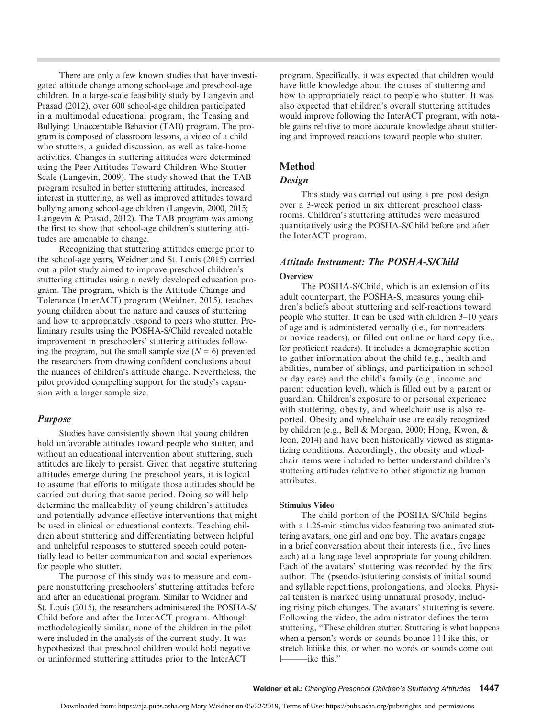There are only a few known studies that have investigated attitude change among school-age and preschool-age children. In a large-scale feasibility study by Langevin and Prasad (2012), over 600 school-age children participated in a multimodal educational program, the Teasing and Bullying: Unacceptable Behavior (TAB) program. The program is composed of classroom lessons, a video of a child who stutters, a guided discussion, as well as take-home activities. Changes in stuttering attitudes were determined using the Peer Attitudes Toward Children Who Stutter Scale (Langevin, 2009). The study showed that the TAB program resulted in better stuttering attitudes, increased interest in stuttering, as well as improved attitudes toward bullying among school-age children (Langevin, 2000, 2015; Langevin & Prasad, 2012). The TAB program was among the first to show that school-age children's stuttering attitudes are amenable to change.

Recognizing that stuttering attitudes emerge prior to the school-age years, Weidner and St. Louis (2015) carried out a pilot study aimed to improve preschool children's stuttering attitudes using a newly developed education program. The program, which is the Attitude Change and Tolerance (InterACT) program (Weidner, 2015), teaches young children about the nature and causes of stuttering and how to appropriately respond to peers who stutter. Preliminary results using the POSHA-S/Child revealed notable improvement in preschoolers' stuttering attitudes following the program, but the small sample size  $(N = 6)$  prevented the researchers from drawing confident conclusions about the nuances of children's attitude change. Nevertheless, the pilot provided compelling support for the study's expansion with a larger sample size.

#### Purpose

Studies have consistently shown that young children hold unfavorable attitudes toward people who stutter, and without an educational intervention about stuttering, such attitudes are likely to persist. Given that negative stuttering attitudes emerge during the preschool years, it is logical to assume that efforts to mitigate those attitudes should be carried out during that same period. Doing so will help determine the malleability of young children's attitudes and potentially advance effective interventions that might be used in clinical or educational contexts. Teaching children about stuttering and differentiating between helpful and unhelpful responses to stuttered speech could potentially lead to better communication and social experiences for people who stutter.

The purpose of this study was to measure and compare nonstuttering preschoolers' stuttering attitudes before and after an educational program. Similar to Weidner and St. Louis (2015), the researchers administered the POSHA-S/ Child before and after the InterACT program. Although methodologically similar, none of the children in the pilot were included in the analysis of the current study. It was hypothesized that preschool children would hold negative or uninformed stuttering attitudes prior to the InterACT

program. Specifically, it was expected that children would have little knowledge about the causes of stuttering and how to appropriately react to people who stutter. It was also expected that children's overall stuttering attitudes would improve following the InterACT program, with notable gains relative to more accurate knowledge about stuttering and improved reactions toward people who stutter.

## Method

#### Design

This study was carried out using a pre–post design over a 3-week period in six different preschool classrooms. Children's stuttering attitudes were measured quantitatively using the POSHA-S/Child before and after the InterACT program.

### Attitude Instrument: The POSHA-S/Child **Overview**

The POSHA-S/Child, which is an extension of its adult counterpart, the POSHA-S, measures young children's beliefs about stuttering and self-reactions toward people who stutter. It can be used with children 3–10 years of age and is administered verbally (i.e., for nonreaders or novice readers), or filled out online or hard copy (i.e., for proficient readers). It includes a demographic section to gather information about the child (e.g., health and abilities, number of siblings, and participation in school or day care) and the child's family (e.g., income and parent education level), which is filled out by a parent or guardian. Children's exposure to or personal experience with stuttering, obesity, and wheelchair use is also reported. Obesity and wheelchair use are easily recognized by children (e.g., Bell & Morgan, 2000; Hong, Kwon, & Jeon, 2014) and have been historically viewed as stigmatizing conditions. Accordingly, the obesity and wheelchair items were included to better understand children's stuttering attitudes relative to other stigmatizing human attributes.

#### Stimulus Video

The child portion of the POSHA-S/Child begins with a 1.25-min stimulus video featuring two animated stuttering avatars, one girl and one boy. The avatars engage in a brief conversation about their interests (i.e., five lines each) at a language level appropriate for young children. Each of the avatars' stuttering was recorded by the first author. The (pseudo-)stuttering consists of initial sound and syllable repetitions, prolongations, and blocks. Physical tension is marked using unnatural prosody, including rising pitch changes. The avatars' stuttering is severe. Following the video, the administrator defines the term stuttering, "These children stutter. Stuttering is what happens when a person's words or sounds bounce l-l-l-ike this, or stretch liiiiiike this, or when no words or sounds come out l———ike this."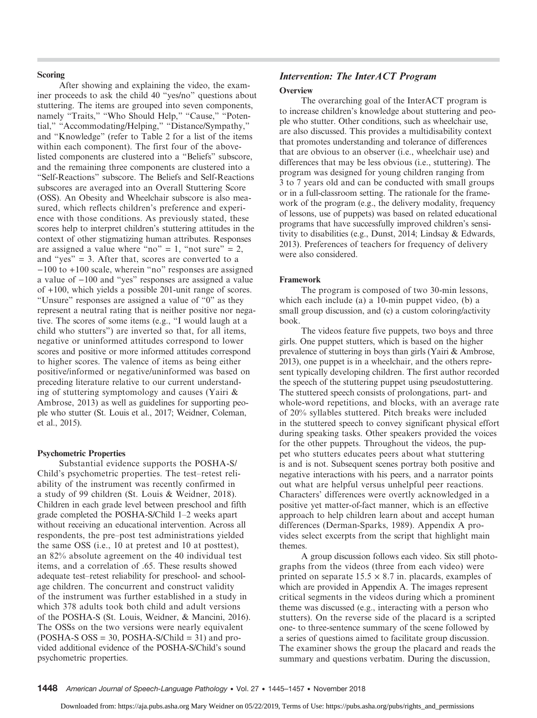#### Scoring

After showing and explaining the video, the examiner proceeds to ask the child 40 "yes/no" questions about stuttering. The items are grouped into seven components, namely "Traits," "Who Should Help," "Cause," "Potential," "Accommodating/Helping," "Distance/Sympathy," and "Knowledge" (refer to Table 2 for a list of the items within each component). The first four of the abovelisted components are clustered into a "Beliefs" subscore, and the remaining three components are clustered into a "Self-Reactions" subscore. The Beliefs and Self-Reactions subscores are averaged into an Overall Stuttering Score (OSS). An Obesity and Wheelchair subscore is also measured, which reflects children's preference and experience with those conditions. As previously stated, these scores help to interpret children's stuttering attitudes in the context of other stigmatizing human attributes. Responses are assigned a value where "no" = 1, "not sure" = 2, and "yes"  $=$  3. After that, scores are converted to a −100 to +100 scale, wherein "no" responses are assigned a value of −100 and "yes" responses are assigned a value of +100, which yields a possible 201-unit range of scores. "Unsure" responses are assigned a value of "0" as they represent a neutral rating that is neither positive nor negative. The scores of some items (e.g., "I would laugh at a child who stutters") are inverted so that, for all items, negative or uninformed attitudes correspond to lower scores and positive or more informed attitudes correspond to higher scores. The valence of items as being either positive/informed or negative/uninformed was based on preceding literature relative to our current understanding of stuttering symptomology and causes (Yairi & Ambrose, 2013) as well as guidelines for supporting people who stutter (St. Louis et al., 2017; Weidner, Coleman, et al., 2015).

#### Psychometric Properties

Substantial evidence supports the POSHA-S/ Child's psychometric properties. The test–retest reliability of the instrument was recently confirmed in a study of 99 children (St. Louis & Weidner, 2018). Children in each grade level between preschool and fifth grade completed the POSHA-S/Child 1–2 weeks apart without receiving an educational intervention. Across all respondents, the pre–post test administrations yielded the same OSS (i.e., 10 at pretest and 10 at posttest), an 82% absolute agreement on the 40 individual test items, and a correlation of .65. These results showed adequate test–retest reliability for preschool- and schoolage children. The concurrent and construct validity of the instrument was further established in a study in which 378 adults took both child and adult versions of the POSHA-S (St. Louis, Weidner, & Mancini, 2016). The OSSs on the two versions were nearly equivalent  $(POSHA-S OSS = 30, POSHA-S/Child = 31)$  and provided additional evidence of the POSHA-S/Child's sound psychometric properties.

# Intervention: The InterACT Program

#### **Overview**

The overarching goal of the InterACT program is to increase children's knowledge about stuttering and people who stutter. Other conditions, such as wheelchair use, are also discussed. This provides a multidisability context that promotes understanding and tolerance of differences that are obvious to an observer (i.e., wheelchair use) and differences that may be less obvious (i.e., stuttering). The program was designed for young children ranging from 3 to 7 years old and can be conducted with small groups or in a full-classroom setting. The rationale for the framework of the program (e.g., the delivery modality, frequency of lessons, use of puppets) was based on related educational programs that have successfully improved children's sensitivity to disabilities (e.g., Dunst, 2014; Lindsay & Edwards, 2013). Preferences of teachers for frequency of delivery were also considered.

#### Framework

The program is composed of two 30-min lessons, which each include (a) a 10-min puppet video, (b) a small group discussion, and (c) a custom coloring/activity book.

The videos feature five puppets, two boys and three girls. One puppet stutters, which is based on the higher prevalence of stuttering in boys than girls (Yairi & Ambrose, 2013), one puppet is in a wheelchair, and the others represent typically developing children. The first author recorded the speech of the stuttering puppet using pseudostuttering. The stuttered speech consists of prolongations, part- and whole-word repetitions, and blocks, with an average rate of 20% syllables stuttered. Pitch breaks were included in the stuttered speech to convey significant physical effort during speaking tasks. Other speakers provided the voices for the other puppets. Throughout the videos, the puppet who stutters educates peers about what stuttering is and is not. Subsequent scenes portray both positive and negative interactions with his peers, and a narrator points out what are helpful versus unhelpful peer reactions. Characters' differences were overtly acknowledged in a positive yet matter-of-fact manner, which is an effective approach to help children learn about and accept human differences (Derman-Sparks, 1989). Appendix A provides select excerpts from the script that highlight main themes.

A group discussion follows each video. Six still photographs from the videos (three from each video) were printed on separate  $15.5 \times 8.7$  in. placards, examples of which are provided in Appendix A. The images represent critical segments in the videos during which a prominent theme was discussed (e.g., interacting with a person who stutters). On the reverse side of the placard is a scripted one- to three-sentence summary of the scene followed by a series of questions aimed to facilitate group discussion. The examiner shows the group the placard and reads the summary and questions verbatim. During the discussion,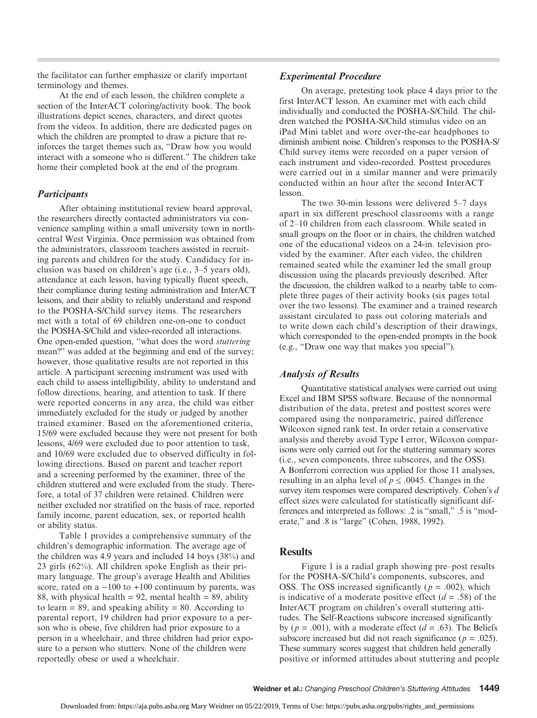the facilitator can further emphasize or clarify important terminology and themes.

At the end of each lesson, the children complete a section of the InterACT coloring/activity book. The book illustrations depict scenes, characters, and direct quotes from the videos. In addition, there are dedicated pages on which the children are prompted to draw a picture that reinforces the target themes such as, "Draw how you would interact with a someone who is different." The children take home their completed book at the end of the program.

#### **Participants**

After obtaining institutional review board approval, the researchers directly contacted administrators via convenience sampling within a small university town in northcentral West Virginia. Once permission was obtained from the administrators, classroom teachers assisted in recruiting parents and children for the study. Candidacy for inclusion was based on children's age (i.e., 3–5 years old), attendance at each lesson, having typically fluent speech, their compliance during testing administration and InterACT lessons, and their ability to reliably understand and respond to the POSHA-S/Child survey items. The researchers met with a total of 69 children one-on-one to conduct the POSHA-S/Child and video-recorded all interactions. One open-ended question, "what does the word stuttering mean?" was added at the beginning and end of the survey; however, those qualitative results are not reported in this article. A participant screening instrument was used with each child to assess intelligibility, ability to understand and follow directions, hearing, and attention to task. If there were reported concerns in any area, the child was either immediately excluded for the study or judged by another trained examiner. Based on the aforementioned criteria, 15/69 were excluded because they were not present for both lessons, 4/69 were excluded due to poor attention to task, and 10/69 were excluded due to observed difficulty in following directions. Based on parent and teacher report and a screening performed by the examiner, three of the children stuttered and were excluded from the study. Therefore, a total of 37 children were retained. Children were neither excluded nor stratified on the basis of race, reported family income, parent education, sex, or reported health or ability status.

Table 1 provides a comprehensive summary of the children's demographic information. The average age of the children was 4.9 years and included 14 boys (38%) and 23 girls (62%). All children spoke English as their primary language. The group's average Health and Abilities score, rated on a  $-100$  to  $+100$  continuum by parents, was 88, with physical health = 92, mental health = 89, ability to learn  $= 89$ , and speaking ability  $= 80$ . According to parental report, 19 children had prior exposure to a person who is obese, five children had prior exposure to a person in a wheelchair, and three children had prior exposure to a person who stutters. None of the children were reportedly obese or used a wheelchair.

#### Experimental Procedure

On average, pretesting took place 4 days prior to the first InterACT lesson. An examiner met with each child individually and conducted the POSHA-S/Child. The children watched the POSHA-S/Child stimulus video on an iPad Mini tablet and wore over-the-ear headphones to diminish ambient noise. Children's responses to the POSHA-S/ Child survey items were recorded on a paper version of each instrument and video-recorded. Posttest procedures were carried out in a similar manner and were primarily conducted within an hour after the second InterACT lesson.

The two 30-min lessons were delivered 5–7 days apart in six different preschool classrooms with a range of 2–10 children from each classroom. While seated in small groups on the floor or in chairs, the children watched one of the educational videos on a 24-in. television provided by the examiner. After each video, the children remained seated while the examiner led the small group discussion using the placards previously described. After the discussion, the children walked to a nearby table to complete three pages of their activity books (six pages total over the two lessons). The examiner and a trained research assistant circulated to pass out coloring materials and to write down each child's description of their drawings, which corresponded to the open-ended prompts in the book (e.g., "Draw one way that makes you special").

#### Analysis of Results

Quantitative statistical analyses were carried out using Excel and IBM SPSS software. Because of the nonnormal distribution of the data, pretest and posttest scores were compared using the nonparametric, paired difference Wilcoxon signed rank test. In order retain a conservative analysis and thereby avoid Type I error, Wilcoxon comparisons were only carried out for the stuttering summary scores (i.e., seven components, three subscores, and the OSS). A Bonferroni correction was applied for those 11 analyses, resulting in an alpha level of  $p \leq 0.0045$ . Changes in the survey item responses were compared descriptively. Cohen's d effect sizes were calculated for statistically significant differences and interpreted as follows: .2 is "small," .5 is "moderate," and .8 is "large" (Cohen, 1988, 1992).

#### **Results**

Figure 1 is a radial graph showing pre–post results for the POSHA-S/Child's components, subscores, and OSS. The OSS increased significantly ( $p = .002$ ), which is indicative of a moderate positive effect  $(d = .58)$  of the InterACT program on children's overall stuttering attitudes. The Self-Reactions subscore increased significantly by ( $p = .001$ ), with a moderate effect ( $d = .63$ ). The Beliefs subscore increased but did not reach significance ( $p = .025$ ). These summary scores suggest that children held generally positive or informed attitudes about stuttering and people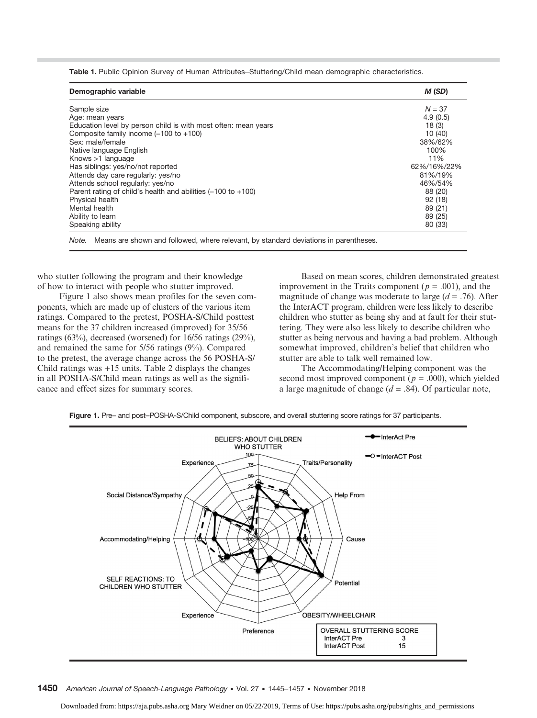|  |  |  |  |  |  |  | Table 1. Public Opinion Survey of Human Attributes-Stuttering/Child mean demographic characteristics. |  |
|--|--|--|--|--|--|--|-------------------------------------------------------------------------------------------------------|--|
|--|--|--|--|--|--|--|-------------------------------------------------------------------------------------------------------|--|

| Demographic variable                                                    | M (SD)      |
|-------------------------------------------------------------------------|-------------|
| Sample size                                                             | $N = 37$    |
| Age: mean years                                                         | 4.9(0.5)    |
| Education level by person child is with most often: mean years          | 18(3)       |
| Composite family income $(-100 \text{ to } +100)$                       | 10(40)      |
| Sex: male/female                                                        | 38%/62%     |
| Native language English                                                 | 100%        |
| Knows >1 language                                                       | 11%         |
| Has siblings: yes/no/not reported                                       | 62%/16%/22% |
| Attends day care regularly: yes/no                                      | 81%/19%     |
| Attends school regularly: yes/no                                        | 46%/54%     |
| Parent rating of child's health and abilities $(-100 \text{ to } +100)$ | 88 (20)     |
| Physical health                                                         | 92(18)      |
| Mental health                                                           | 89 (21)     |
| Ability to learn                                                        | 89 (25)     |
| Speaking ability                                                        | 80 (33)     |

who stutter following the program and their knowledge of how to interact with people who stutter improved.

Figure 1 also shows mean profiles for the seven components, which are made up of clusters of the various item ratings. Compared to the pretest, POSHA-S/Child posttest means for the 37 children increased (improved) for 35/56 ratings (63%), decreased (worsened) for 16/56 ratings (29%), and remained the same for 5/56 ratings (9%). Compared to the pretest, the average change across the 56 POSHA-S/ Child ratings was +15 units. Table 2 displays the changes in all POSHA-S/Child mean ratings as well as the significance and effect sizes for summary scores.

Based on mean scores, children demonstrated greatest improvement in the Traits component ( $p = .001$ ), and the magnitude of change was moderate to large  $(d = .76)$ . After the InterACT program, children were less likely to describe children who stutter as being shy and at fault for their stuttering. They were also less likely to describe children who stutter as being nervous and having a bad problem. Although somewhat improved, children's belief that children who stutter are able to talk well remained low.

The Accommodating/Helping component was the second most improved component ( $p = .000$ ), which yielded a large magnitude of change  $(d = .84)$ . Of particular note,





1450 American Journal of Speech-Language Pathology • Vol. 27 • 1445–1457 • November 2018

Downloaded from: https://aja.pubs.asha.org Mary Weidner on 05/22/2019, Terms of Use: https://pubs.asha.org/pubs/rights\_and\_permissions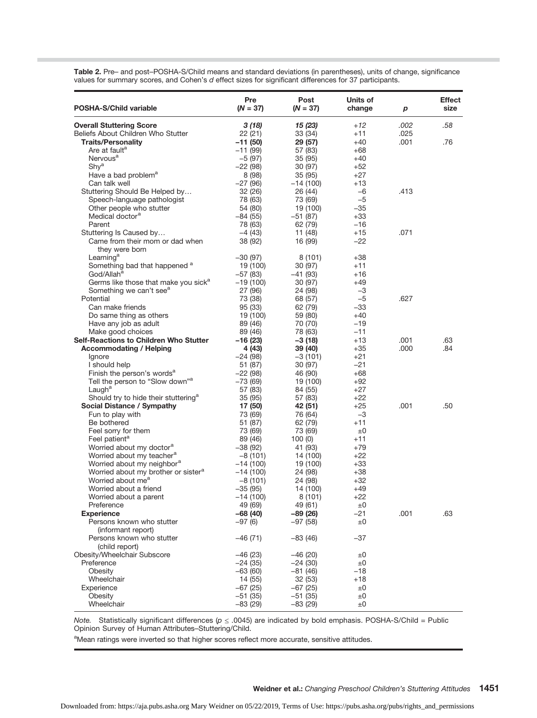| <b>POSHA-S/Child variable</b>                    | Pre<br>$(N = 37)$ | Post<br>$(N = 37)$ | Units of<br>change | р    | <b>Effect</b><br>size |
|--------------------------------------------------|-------------------|--------------------|--------------------|------|-----------------------|
| <b>Overall Stuttering Score</b>                  | 3(18)             | 15 (23)            | $+12$              | .002 | .58                   |
| Beliefs About Children Who Stutter               | 22(21)            | 33 (34)            | $+11$              | .025 |                       |
| <b>Traits/Personality</b>                        | $-11(50)$         | 29 (57)            | $+40$              | .001 | .76                   |
| Are at fault <sup>a</sup>                        | $-11(99)$         | 57 (83)            | $+68$              |      |                       |
| Nervous <sup>a</sup>                             | $-5(97)$          | 35(95)             | $+40$              |      |                       |
| Shy <sup>a</sup>                                 | $-22(98)$         | 30(97)             | $+52$              |      |                       |
| Have a bad problem <sup>a</sup>                  | 8 (98)            | 35 (95)            | $+27$              |      |                       |
| Can talk well                                    | $-27(96)$         | $-14(100)$         | $+13$              |      |                       |
| Stuttering Should Be Helped by                   | 32 (26)           | 26 (44)            | $-6$               | .413 |                       |
| Speech-language pathologist                      | 78 (63)           | 73 (69)            | $-5$               |      |                       |
| Other people who stutter                         | 54 (80)           | 19 (100)           | $-35$              |      |                       |
| Medical doctor <sup>a</sup>                      | $-84(55)$         | $-51(87)$          | $+33$              |      |                       |
| Parent                                           | 78 (63)           | 62 (79)            | $-16$              |      |                       |
| Stuttering Is Caused by                          | $-4(43)$          | 11 (48)            | $+15$              | .071 |                       |
| Came from their mom or dad when                  | 38 (92)           | 16 (99)            | $-22$              |      |                       |
| they were born                                   |                   |                    |                    |      |                       |
| Learning <sup>a</sup>                            | $-30(97)$         | 8 (101)            | $+38$              |      |                       |
| Something bad that happened <sup>a</sup>         | 19 (100)          | 30(97)             | $+11$              |      |                       |
| God/Allah <sup>a</sup>                           | $-57(83)$         | $-41(93)$          | $+16$              |      |                       |
| Germs like those that make you sick <sup>a</sup> | $-19(100)$        | 30(97)             | $+49$              |      |                       |
| Something we can't see <sup>a</sup>              | 27 (96)           | 24 (98)            | $-3$               |      |                       |
| Potential                                        | 73 (38)           | 68 (57)            | $-5$               | .627 |                       |
| Can make friends                                 | 95 (33)           | 62 (79)            | $-33$              |      |                       |
| Do same thing as others                          | 19 (100)          | 59 (80)            | $+40$              |      |                       |
| Have any job as adult                            | 89 (46)           | 70 (70)            | $-19$              |      |                       |
| Make good choices                                | 89 (46)           | 78 (63)            | $-11$              |      |                       |
| <b>Self-Reactions to Children Who Stutter</b>    | $-16(23)$         | $-3(18)$           | $+13$              | .001 | .63                   |
| <b>Accommodating / Helping</b>                   | 4 (43)            | 39 (40)            | $+35$              | .000 | .84                   |
| Ignore                                           | $-24(98)$         | $-3(101)$          | $+21$              |      |                       |
| I should help                                    | 51 (87)           | 30 (97)            | $-21$              |      |                       |
| Finish the person's words <sup>a</sup>           | $-22(98)$         | 46 (90)            | $+68$              |      |                       |
| Tell the person to "Slow down" <sup>a</sup>      | $-73(69)$         | 19 (100)           | $+92$              |      |                       |
| Laugh <sup>a</sup>                               | 57 (83)           | 84 (55)            | $+27$              |      |                       |
| Should try to hide their stuttering <sup>a</sup> | 35 (95)           | 57 (83)            | $+22$              |      |                       |
| Social Distance / Sympathy                       | 17 (50)           | 42 (51)            | $+25$              | .001 | .50                   |
| Fun to play with                                 | 73 (69)           | 76 (64)            | $-3$               |      |                       |
| Be bothered                                      | 51 (87)           | 62 (79)            | $+11$              |      |                       |
| Feel sorry for them                              | 73 (69)           | 73 (69)            | ±0                 |      |                       |
| Feel patient <sup>a</sup>                        | 89 (46)           | 100(0)             | $+11$              |      |                       |
| Worried about my doctor <sup>a</sup>             | $-38(92)$         | 41 (93)            | $+79$              |      |                       |
| Worried about my teacher <sup>a</sup>            | $-8(101)$         | 14 (100)           | $+22$              |      |                       |
| Worried about my neighbor <sup>a</sup>           | $-14(100)$        | 19 (100)           | $+33$              |      |                       |
| Worried about my brother or sister <sup>a</sup>  | $-14(100)$        | 24 (98)            | $+38$              |      |                       |
| Worried about me <sup>a</sup>                    | $-8(101)$         | 24 (98)            | $+32$              |      |                       |
| Worried about a friend                           | $-35(95)$         | 14 (100)           | $+49$              |      |                       |
| Worried about a parent                           | $-14(100)$        |                    | $+22$              |      |                       |
| Preference                                       | 49 (69)           | 8(101)<br>49 (61)  | $_{\pm 0}$         |      |                       |
| <b>Experience</b>                                | $-68(40)$         | $-89(26)$          | $-21$              | .001 | .63                   |
| Persons known who stutter                        | -97 (6)           | $-97(58)$          | $_{\pm 0}$         |      |                       |
| (informant report)                               |                   |                    |                    |      |                       |
| Persons known who stutter                        | $-46(71)$         | $-83(46)$          | $-37$              |      |                       |
|                                                  |                   |                    |                    |      |                       |
| (child report)                                   |                   |                    |                    |      |                       |
| Obesity/Wheelchair Subscore                      | $-46(23)$         | $-46(20)$          | $\pm 0$            |      |                       |
| Preference                                       | $-24(35)$         | $-24(30)$          | $_{\pm 0}$         |      |                       |
| Obesity                                          | $-63(60)$         | $-81(46)$          | $-18$              |      |                       |
| Wheelchair                                       | 14 (55)           | 32(53)             | $+18$              |      |                       |
| Experience                                       | $-67(25)$         | $-67(25)$          | $_{\pm 0}$         |      |                       |
| Obesity<br>Wheelchair                            | $-51(35)$         | $-51(35)$          | $_{\pm 0}$         |      |                       |
|                                                  | $-83(29)$         | $-83(29)$          | $_{\pm 0}$         |      |                       |

Table 2. Pre– and post–POSHA-S/Child means and standard deviations (in parentheses), units of change, significance values for summary scores, and Cohen's d effect sizes for significant differences for 37 participants.

Note. Statistically significant differences ( $p \leq .0045$ ) are indicated by bold emphasis. POSHA-S/Child = Public Opinion Survey of Human Attributes–Stuttering/Child.

<sup>a</sup>Mean ratings were inverted so that higher scores reflect more accurate, sensitive attitudes.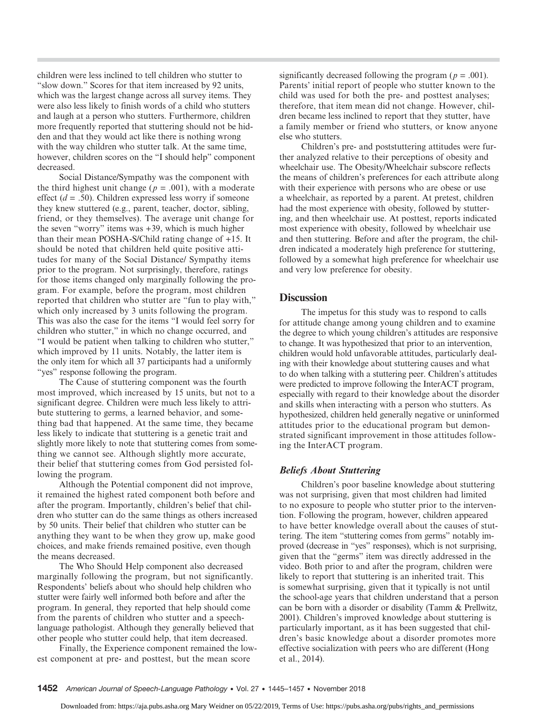children were less inclined to tell children who stutter to "slow down." Scores for that item increased by 92 units, which was the largest change across all survey items. They were also less likely to finish words of a child who stutters and laugh at a person who stutters. Furthermore, children more frequently reported that stuttering should not be hidden and that they would act like there is nothing wrong with the way children who stutter talk. At the same time, however, children scores on the "I should help" component decreased.

Social Distance/Sympathy was the component with the third highest unit change ( $p = .001$ ), with a moderate effect ( $d = .50$ ). Children expressed less worry if someone they knew stuttered (e.g., parent, teacher, doctor, sibling, friend, or they themselves). The average unit change for the seven "worry" items was +39, which is much higher than their mean POSHA-S/Child rating change of +15. It should be noted that children held quite positive attitudes for many of the Social Distance/ Sympathy items prior to the program. Not surprisingly, therefore, ratings for those items changed only marginally following the program. For example, before the program, most children reported that children who stutter are "fun to play with," which only increased by 3 units following the program. This was also the case for the items "I would feel sorry for children who stutter," in which no change occurred, and "I would be patient when talking to children who stutter," which improved by 11 units. Notably, the latter item is the only item for which all 37 participants had a uniformly "yes" response following the program.

The Cause of stuttering component was the fourth most improved, which increased by 15 units, but not to a significant degree. Children were much less likely to attribute stuttering to germs, a learned behavior, and something bad that happened. At the same time, they became less likely to indicate that stuttering is a genetic trait and slightly more likely to note that stuttering comes from something we cannot see. Although slightly more accurate, their belief that stuttering comes from God persisted following the program.

Although the Potential component did not improve, it remained the highest rated component both before and after the program. Importantly, children's belief that children who stutter can do the same things as others increased by 50 units. Their belief that children who stutter can be anything they want to be when they grow up, make good choices, and make friends remained positive, even though the means decreased.

The Who Should Help component also decreased marginally following the program, but not significantly. Respondents' beliefs about who should help children who stutter were fairly well informed both before and after the program. In general, they reported that help should come from the parents of children who stutter and a speechlanguage pathologist. Although they generally believed that other people who stutter could help, that item decreased.

Finally, the Experience component remained the lowest component at pre- and posttest, but the mean score

significantly decreased following the program ( $p = .001$ ). Parents' initial report of people who stutter known to the child was used for both the pre- and posttest analyses; therefore, that item mean did not change. However, children became less inclined to report that they stutter, have a family member or friend who stutters, or know anyone else who stutters.

Children's pre- and poststuttering attitudes were further analyzed relative to their perceptions of obesity and wheelchair use. The Obesity/Wheelchair subscore reflects the means of children's preferences for each attribute along with their experience with persons who are obese or use a wheelchair, as reported by a parent. At pretest, children had the most experience with obesity, followed by stuttering, and then wheelchair use. At posttest, reports indicated most experience with obesity, followed by wheelchair use and then stuttering. Before and after the program, the children indicated a moderately high preference for stuttering, followed by a somewhat high preference for wheelchair use and very low preference for obesity.

#### **Discussion**

The impetus for this study was to respond to calls for attitude change among young children and to examine the degree to which young children's attitudes are responsive to change. It was hypothesized that prior to an intervention, children would hold unfavorable attitudes, particularly dealing with their knowledge about stuttering causes and what to do when talking with a stuttering peer. Children's attitudes were predicted to improve following the InterACT program, especially with regard to their knowledge about the disorder and skills when interacting with a person who stutters. As hypothesized, children held generally negative or uninformed attitudes prior to the educational program but demonstrated significant improvement in those attitudes following the InterACT program.

#### Beliefs About Stuttering

Children's poor baseline knowledge about stuttering was not surprising, given that most children had limited to no exposure to people who stutter prior to the intervention. Following the program, however, children appeared to have better knowledge overall about the causes of stuttering. The item "stuttering comes from germs" notably improved (decrease in "yes" responses), which is not surprising, given that the "germs" item was directly addressed in the video. Both prior to and after the program, children were likely to report that stuttering is an inherited trait. This is somewhat surprising, given that it typically is not until the school-age years that children understand that a person can be born with a disorder or disability (Tamm & Prellwitz, 2001). Children's improved knowledge about stuttering is particularly important, as it has been suggested that children's basic knowledge about a disorder promotes more effective socialization with peers who are different (Hong et al., 2014).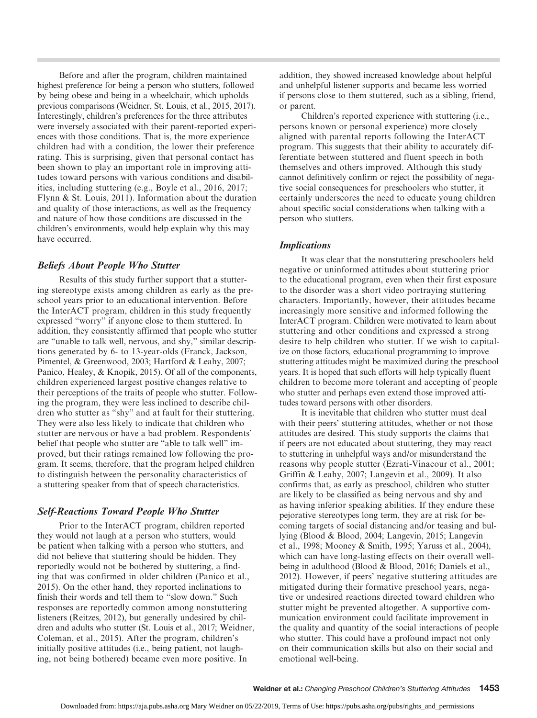Before and after the program, children maintained highest preference for being a person who stutters, followed by being obese and being in a wheelchair, which upholds previous comparisons (Weidner, St. Louis, et al., 2015, 2017). Interestingly, children's preferences for the three attributes were inversely associated with their parent-reported experiences with those conditions. That is, the more experience children had with a condition, the lower their preference rating. This is surprising, given that personal contact has been shown to play an important role in improving attitudes toward persons with various conditions and disabilities, including stuttering (e.g., Boyle et al., 2016, 2017; Flynn & St. Louis, 2011). Information about the duration and quality of those interactions, as well as the frequency and nature of how those conditions are discussed in the children's environments, would help explain why this may have occurred.

#### Beliefs About People Who Stutter

Results of this study further support that a stuttering stereotype exists among children as early as the preschool years prior to an educational intervention. Before the InterACT program, children in this study frequently expressed "worry" if anyone close to them stuttered. In addition, they consistently affirmed that people who stutter are "unable to talk well, nervous, and shy," similar descriptions generated by 6- to 13-year-olds (Franck, Jackson, Pimentel, & Greenwood, 2003; Hartford & Leahy, 2007; Panico, Healey, & Knopik, 2015). Of all of the components, children experienced largest positive changes relative to their perceptions of the traits of people who stutter. Following the program, they were less inclined to describe children who stutter as "shy" and at fault for their stuttering. They were also less likely to indicate that children who stutter are nervous or have a bad problem. Respondents' belief that people who stutter are "able to talk well" improved, but their ratings remained low following the program. It seems, therefore, that the program helped children to distinguish between the personality characteristics of a stuttering speaker from that of speech characteristics.

#### Self-Reactions Toward People Who Stutter

Prior to the InterACT program, children reported they would not laugh at a person who stutters, would be patient when talking with a person who stutters, and did not believe that stuttering should be hidden. They reportedly would not be bothered by stuttering, a finding that was confirmed in older children (Panico et al., 2015). On the other hand, they reported inclinations to finish their words and tell them to "slow down." Such responses are reportedly common among nonstuttering listeners (Reitzes, 2012), but generally undesired by children and adults who stutter (St. Louis et al., 2017; Weidner, Coleman, et al., 2015). After the program, children's initially positive attitudes (i.e., being patient, not laughing, not being bothered) became even more positive. In

addition, they showed increased knowledge about helpful and unhelpful listener supports and became less worried if persons close to them stuttered, such as a sibling, friend, or parent.

Children's reported experience with stuttering (i.e., persons known or personal experience) more closely aligned with parental reports following the InterACT program. This suggests that their ability to accurately differentiate between stuttered and fluent speech in both themselves and others improved. Although this study cannot definitively confirm or reject the possibility of negative social consequences for preschoolers who stutter, it certainly underscores the need to educate young children about specific social considerations when talking with a person who stutters.

#### Implications

It was clear that the nonstuttering preschoolers held negative or uninformed attitudes about stuttering prior to the educational program, even when their first exposure to the disorder was a short video portraying stuttering characters. Importantly, however, their attitudes became increasingly more sensitive and informed following the InterACT program. Children were motivated to learn about stuttering and other conditions and expressed a strong desire to help children who stutter. If we wish to capitalize on those factors, educational programming to improve stuttering attitudes might be maximized during the preschool years. It is hoped that such efforts will help typically fluent children to become more tolerant and accepting of people who stutter and perhaps even extend those improved attitudes toward persons with other disorders.

It is inevitable that children who stutter must deal with their peers' stuttering attitudes, whether or not those attitudes are desired. This study supports the claims that if peers are not educated about stuttering, they may react to stuttering in unhelpful ways and/or misunderstand the reasons why people stutter (Ezrati-Vinacour et al., 2001; Griffin & Leahy, 2007; Langevin et al., 2009). It also confirms that, as early as preschool, children who stutter are likely to be classified as being nervous and shy and as having inferior speaking abilities. If they endure these pejorative stereotypes long term, they are at risk for becoming targets of social distancing and/or teasing and bullying (Blood & Blood, 2004; Langevin, 2015; Langevin et al., 1998; Mooney & Smith, 1995; Yaruss et al., 2004), which can have long-lasting effects on their overall wellbeing in adulthood (Blood & Blood, 2016; Daniels et al., 2012). However, if peers' negative stuttering attitudes are mitigated during their formative preschool years, negative or undesired reactions directed toward children who stutter might be prevented altogether. A supportive communication environment could facilitate improvement in the quality and quantity of the social interactions of people who stutter. This could have a profound impact not only on their communication skills but also on their social and emotional well-being.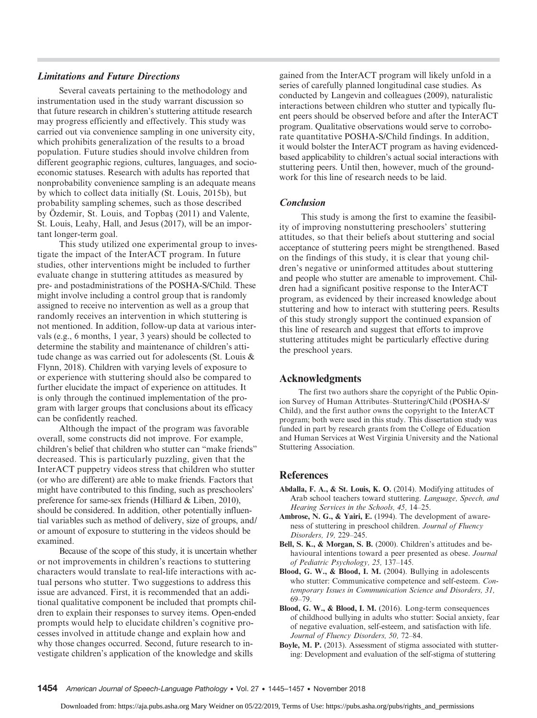#### Limitations and Future Directions

Several caveats pertaining to the methodology and instrumentation used in the study warrant discussion so that future research in children's stuttering attitude research may progress efficiently and effectively. This study was carried out via convenience sampling in one university city, which prohibits generalization of the results to a broad population. Future studies should involve children from different geographic regions, cultures, languages, and socioeconomic statuses. Research with adults has reported that nonprobability convenience sampling is an adequate means by which to collect data initially (St. Louis, 2015b), but probability sampling schemes, such as those described by Özdemir, St. Louis, and Topbaş (2011) and Valente, St. Louis, Leahy, Hall, and Jesus (2017), will be an important longer-term goal.

This study utilized one experimental group to investigate the impact of the InterACT program. In future studies, other interventions might be included to further evaluate change in stuttering attitudes as measured by pre- and postadministrations of the POSHA-S/Child. These might involve including a control group that is randomly assigned to receive no intervention as well as a group that randomly receives an intervention in which stuttering is not mentioned. In addition, follow-up data at various intervals (e.g., 6 months, 1 year, 3 years) should be collected to determine the stability and maintenance of children's attitude change as was carried out for adolescents (St. Louis & Flynn, 2018). Children with varying levels of exposure to or experience with stuttering should also be compared to further elucidate the impact of experience on attitudes. It is only through the continued implementation of the program with larger groups that conclusions about its efficacy can be confidently reached.

Although the impact of the program was favorable overall, some constructs did not improve. For example, children's belief that children who stutter can "make friends" decreased. This is particularly puzzling, given that the InterACT puppetry videos stress that children who stutter (or who are different) are able to make friends. Factors that might have contributed to this finding, such as preschoolers' preference for same-sex friends (Hilliard & Liben, 2010), should be considered. In addition, other potentially influential variables such as method of delivery, size of groups, and/ or amount of exposure to stuttering in the videos should be examined.

Because of the scope of this study, it is uncertain whether or not improvements in children's reactions to stuttering characters would translate to real-life interactions with actual persons who stutter. Two suggestions to address this issue are advanced. First, it is recommended that an additional qualitative component be included that prompts children to explain their responses to survey items. Open-ended prompts would help to elucidate children's cognitive processes involved in attitude change and explain how and why those changes occurred. Second, future research to investigate children's application of the knowledge and skills

gained from the InterACT program will likely unfold in a series of carefully planned longitudinal case studies. As conducted by Langevin and colleagues (2009), naturalistic interactions between children who stutter and typically fluent peers should be observed before and after the InterACT program. Qualitative observations would serve to corroborate quantitative POSHA-S/Child findings. In addition, it would bolster the InterACT program as having evidencedbased applicability to children's actual social interactions with stuttering peers. Until then, however, much of the groundwork for this line of research needs to be laid.

#### Conclusion

This study is among the first to examine the feasibility of improving nonstuttering preschoolers' stuttering attitudes, so that their beliefs about stuttering and social acceptance of stuttering peers might be strengthened. Based on the findings of this study, it is clear that young children's negative or uninformed attitudes about stuttering and people who stutter are amenable to improvement. Children had a significant positive response to the InterACT program, as evidenced by their increased knowledge about stuttering and how to interact with stuttering peers. Results of this study strongly support the continued expansion of this line of research and suggest that efforts to improve stuttering attitudes might be particularly effective during the preschool years.

#### Acknowledgments

The first two authors share the copyright of the Public Opinion Survey of Human Attributes–Stuttering/Child (POSHA-S/ Child), and the first author owns the copyright to the InterACT program; both were used in this study. This dissertation study was funded in part by research grants from the College of Education and Human Services at West Virginia University and the National Stuttering Association.

#### **References**

- Abdalla, F. A., & St. Louis, K. O. (2014). Modifying attitudes of Arab school teachers toward stuttering. Language, Speech, and Hearing Services in the Schools, 45, 14–25.
- Ambrose, N. G., & Yairi, E. (1994). The development of awareness of stuttering in preschool children. Journal of Fluency Disorders, 19, 229–245.
- Bell, S. K., & Morgan, S. B. (2000). Children's attitudes and behavioural intentions toward a peer presented as obese. Journal of Pediatric Psychology, 25, 137–145.
- Blood, G. W., & Blood, I. M. (2004). Bullying in adolescents who stutter: Communicative competence and self-esteem. Contemporary Issues in Communication Science and Disorders, 31, 69–79.
- Blood, G. W., & Blood, I. M. (2016). Long-term consequences of childhood bullying in adults who stutter: Social anxiety, fear of negative evaluation, self-esteem, and satisfaction with life. Journal of Fluency Disorders, 50, 72–84.
- Boyle, M. P. (2013). Assessment of stigma associated with stuttering: Development and evaluation of the self-stigma of stuttering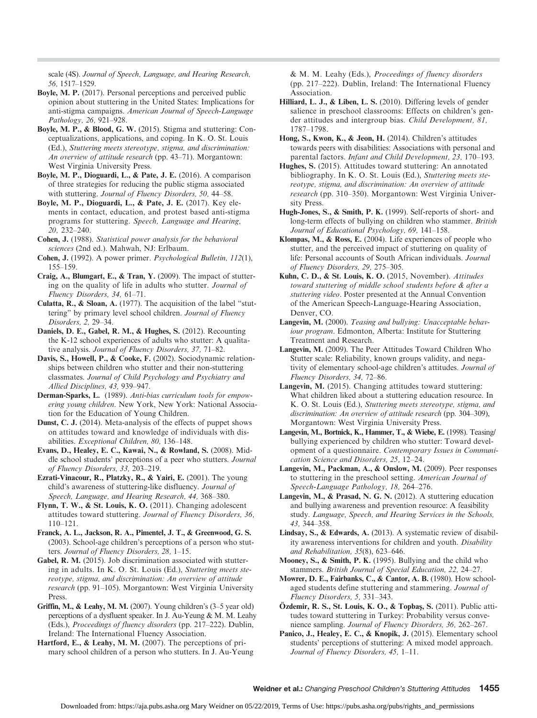scale (4S). Journal of Speech, Language, and Hearing Research, 56, 1517–1529.

- Boyle, M. P. (2017). Personal perceptions and perceived public opinion about stuttering in the United States: Implications for anti-stigma campaigns. American Journal of Speech-Language Pathology, 26, 921–928.
- Boyle, M. P., & Blood, G. W. (2015). Stigma and stuttering: Conceptualizations, applications, and coping. In K. O. St. Louis (Ed.), Stuttering meets stereotype, stigma, and discrimination: An overview of attitude research (pp. 43–71). Morgantown: West Virginia University Press.
- Boyle, M. P., Dioguardi, L., & Pate, J. E. (2016). A comparison of three strategies for reducing the public stigma associated with stuttering. Journal of Fluency Disorders, 50, 44–58.
- Boyle, M. P., Dioguardi, L., & Pate, J. E. (2017). Key elements in contact, education, and protest based anti-stigma programs for stuttering. Speech, Language and Hearing, 20, 232–240.
- Cohen, J. (1988). Statistical power analysis for the behavioral sciences (2nd ed.). Mahwah, NJ: Erlbaum.
- Cohen, J. (1992). A power primer. Psychological Bulletin, 112(1), 155–159.
- Craig, A., Blumgart, E., & Tran, Y. (2009). The impact of stuttering on the quality of life in adults who stutter. Journal of Fluency Disorders, 34, 61–71.
- Culatta, R., & Sloan, A. (1977). The acquisition of the label "stuttering" by primary level school children. Journal of Fluency Disorders, 2, 29–34.
- Daniels, D. E., Gabel, R. M., & Hughes, S. (2012). Recounting the K-12 school experiences of adults who stutter: A qualitative analysis. Journal of Fluency Disorders, 37, 71–82.
- Davis, S., Howell, P., & Cooke, F. (2002). Sociodynamic relationships between children who stutter and their non-stuttering classmates. Journal of Child Psychology and Psychiatry and Allied Disciplines, 43, 939–947.
- Derman-Sparks, L. (1989). Anti-bias curriculum tools for empowering young children. New York, New York: National Association for the Education of Young Children.
- Dunst, C. J. (2014). Meta-analysis of the effects of puppet shows on attitudes toward and knowledge of individuals with disabilities. Exceptional Children, 80, 136–148.
- Evans, D., Healey, E. C., Kawai, N., & Rowland, S. (2008). Middle school students' perceptions of a peer who stutters. Journal of Fluency Disorders, 33, 203–219.
- Ezrati-Vinacour, R., Platzky, R., & Yairi, E. (2001). The young child's awareness of stuttering-like disfluency. Journal of Speech, Language, and Hearing Research, 44, 368–380.
- Flynn, T. W., & St. Louis, K. O. (2011). Changing adolescent attitudes toward stuttering. Journal of Fluency Disorders, 36, 110–121.
- Franck, A. L., Jackson, R. A., Pimentel, J. T., & Greenwood, G. S. (2003). School-age children's perceptions of a person who stutters. Journal of Fluency Disorders, 28, 1–15.
- Gabel, R. M. (2015). Job discrimination associated with stuttering in adults. In K. O. St. Louis (Ed.), Stuttering meets stereotype, stigma, and discrimination: An overview of attitude research (pp. 91–105). Morgantown: West Virginia University Press.
- Griffin, M., & Leahy, M. M. (2007). Young children's (3–5 year old) perceptions of a dysfluent speaker. In J. Au-Yeung & M. M. Leahy (Eds.), Proceedings of fluency disorders (pp. 217–222). Dublin, Ireland: The International Fluency Association.
- Hartford, E., & Leahy, M. M. (2007). The perceptions of primary school children of a person who stutters. In J. Au-Yeung

& M. M. Leahy (Eds.), Proceedings of fluency disorders (pp. 217–222). Dublin, Ireland: The International Fluency Association.

- Hilliard, L. J., & Liben, L. S. (2010). Differing levels of gender salience in preschool classrooms: Effects on children's gender attitudes and intergroup bias. Child Development, 81, 1787–1798.
- Hong, S., Kwon, K., & Jeon, H. (2014). Children's attitudes towards peers with disabilities: Associations with personal and parental factors. Infant and Child Development, 23, 170–193.
- Hughes, S. (2015). Attitudes toward stuttering: An annotated bibliography. In K. O. St. Louis (Ed.), Stuttering meets stereotype, stigma, and discrimination: An overview of attitude research (pp. 310–350). Morgantown: West Virginia University Press.
- Hugh-Jones, S., & Smith, P. K. (1999). Self-reports of short- and long-term effects of bullying on children who stammer. British Journal of Educational Psychology, 69, 141–158.
- Klompas, M., & Ross, E. (2004). Life experiences of people who stutter, and the perceived impact of stuttering on quality of life: Personal accounts of South African individuals. Journal of Fluency Disorders, 29, 275–305.
- Kuhn, C. D., & St. Louis, K. O. (2015, November). Attitudes toward stuttering of middle school students before & after a stuttering video. Poster presented at the Annual Convention of the American Speech-Language-Hearing Association, Denver, CO.
- Langevin, M. (2000). Teasing and bullying: Unacceptable behaviour program. Edmonton, Alberta: Institute for Stuttering Treatment and Research.
- Langevin, M. (2009). The Peer Attitudes Toward Children Who Stutter scale: Reliability, known groups validity, and negativity of elementary school-age children's attitudes. Journal of Fluency Disorders, 34, 72–86.
- Langevin, M. (2015). Changing attitudes toward stuttering: What children liked about a stuttering education resource. In K. O. St. Louis (Ed.), Stuttering meets stereotype, stigma, and discrimination: An overview of attitude research (pp. 304–309), Morgantown: West Virginia University Press.
- Langevin, M., Bortnick, K., Hammer, T., & Wiebe, E. (1998). Teasing/ bullying experienced by children who stutter: Toward development of a questionnaire. Contemporary Issues in Communication Science and Disorders, 25, 12–24.
- Langevin, M., Packman, A., & Onslow, M. (2009). Peer responses to stuttering in the preschool setting. American Journal of Speech-Language Pathology, 18, 264–276.
- Langevin, M., & Prasad, N. G. N. (2012). A stuttering education and bullying awareness and prevention resource: A feasibility study. Language, Speech, and Hearing Services in the Schools, 43, 344–358.
- Lindsay, S., & Edwards, A. (2013). A systematic review of disability awareness interventions for children and youth. Disability and Rehabilitation, 35(8), 623–646.
- Mooney, S., & Smith, P. K. (1995). Bullying and the child who stammers. British Journal of Special Education, 22, 24–27.
- Mowrer, D. E., Fairbanks, C., & Cantor, A. B. (1980). How schoolaged students define stuttering and stammering. Journal of Fluency Disorders, 5, 331–343.
- Özdemir, R. S., St. Louis, K. O., & Topbaş, S. (2011). Public attitudes toward stuttering in Turkey: Probability versus convenience sampling. Journal of Fluency Disorders, 36, 262–267.
- Panico, J., Healey, E. C., & Knopik, J. (2015). Elementary school students' perceptions of stuttering: A mixed model approach. Journal of Fluency Disorders, 45, 1–11.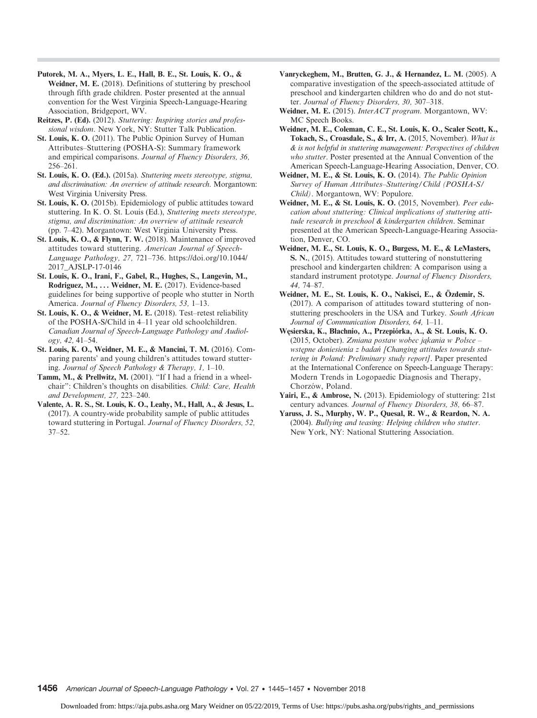- Putorek, M. A., Myers, L. E., Hall, B. E., St. Louis, K. O., & Weidner, M. E. (2018). Definitions of stuttering by preschool through fifth grade children. Poster presented at the annual convention for the West Virginia Speech-Language-Hearing Association, Bridgeport, WV.
- Reitzes, P. (Ed). (2012). Stuttering: Inspiring stories and professional wisdom. New York, NY: Stutter Talk Publication.
- St. Louis, K. O. (2011). The Public Opinion Survey of Human Attributes–Stuttering (POSHA-S): Summary framework and empirical comparisons. Journal of Fluency Disorders, 36, 256–261.
- St. Louis, K. O. (Ed.). (2015a). Stuttering meets stereotype, stigma, and discrimination: An overview of attitude research. Morgantown: West Virginia University Press.
- St. Louis, K. O. (2015b). Epidemiology of public attitudes toward stuttering. In K. O. St. Louis (Ed.), Stuttering meets stereotype, stigma, and discrimination: An overview of attitude research (pp. 7–42). Morgantown: West Virginia University Press.
- St. Louis, K. O., & Flynn, T. W. (2018). Maintenance of improved attitudes toward stuttering. American Journal of Speech-Language Pathology, 27, 721–736. [https://doi.org/10.1044/](https://doi.org/10.1044/2017_AJSLP-17-0146) [2017\\_AJSLP-17-0146](https://doi.org/10.1044/2017_AJSLP-17-0146)
- St. Louis, K. O., Irani, F., Gabel, R., Hughes, S., Langevin, M., Rodriguez, M., ... Weidner, M. E. (2017). Evidence-based guidelines for being supportive of people who stutter in North America. Journal of Fluency Disorders, 53, 1–13.
- St. Louis, K. O., & Weidner, M. E. (2018). Test–retest reliability of the POSHA-S/Child in 4–11 year old schoolchildren. Canadian Journal of Speech-Language Pathology and Audiology, 42, 41–54.
- St. Louis, K. O., Weidner, M. E., & Mancini, T. M. (2016). Comparing parents' and young children's attitudes toward stuttering. Journal of Speech Pathology & Therapy, 1, 1–10.
- Tamm, M., & Prellwitz, M. (2001). "If I had a friend in a wheelchair": Children's thoughts on disabilities. Child: Care, Health and Development, 27, 223–240.
- Valente, A. R. S., St. Louis, K. O., Leahy, M., Hall, A., & Jesus, L. (2017). A country-wide probability sample of public attitudes toward stuttering in Portugal. Journal of Fluency Disorders, 52, 37–52.
- Vanryckeghem, M., Brutten, G. J., & Hernandez, L. M. (2005). A comparative investigation of the speech-associated attitude of preschool and kindergarten children who do and do not stutter. Journal of Fluency Disorders, 30, 307–318.
- Weidner, M. E. (2015). InterACT program. Morgantown, WV: MC Speech Books.
- Weidner, M. E., Coleman, C. E., St. Louis, K. O., Scaler Scott, K., Tokach, S., Croasdale, S., & Irr, A. (2015, November). What is & is not helpful in stuttering management: Perspectives of children who stutter. Poster presented at the Annual Convention of the American Speech-Language-Hearing Association, Denver, CO.
- Weidner, M. E., & St. Louis, K. O. (2014). The Public Opinion Survey of Human Attributes–Stuttering/Child (POSHA-S/ Child). Morgantown, WV: Populore.
- Weidner, M. E., & St. Louis, K. O. (2015, November). Peer education about stuttering: Clinical implications of stuttering attitude research in preschool & kindergarten children. Seminar presented at the American Speech-Language-Hearing Association, Denver, CO.
- Weidner, M. E., St. Louis, K. O., Burgess, M. E., & LeMasters, S. N., (2015). Attitudes toward stuttering of nonstuttering preschool and kindergarten children: A comparison using a standard instrument prototype. Journal of Fluency Disorders, 44, 74–87.
- Weidner, M. E., St. Louis, K. O., Nakisci, E., & Özdemir, S. (2017). A comparison of attitudes toward stuttering of nonstuttering preschoolers in the USA and Turkey. South African Journal of Communication Disorders, 64, 1–11.
- Węsierska, K., Błachnio, A., Przepiórka, A., & St. Louis, K. O. (2015, October). Zmiana postaw wobec jąkania w Polsce – wstępne doniesienia z badań [Changing attitudes towards stuttering in Poland: Preliminary study report]. Paper presented at the International Conference on Speech-Language Therapy: Modern Trends in Logopaedic Diagnosis and Therapy, Chorzów, Poland.
- Yairi, E., & Ambrose, N. (2013). Epidemiology of stuttering: 21st century advances. Journal of Fluency Disorders, 38, 66–87.
- Yaruss, J. S., Murphy, W. P., Quesal, R. W., & Reardon, N. A. (2004). Bullying and teasing: Helping children who stutter. New York, NY: National Stuttering Association.

1456 American Journal of Speech-Language Pathology • Vol. 27 • 1445–1457 • November 2018